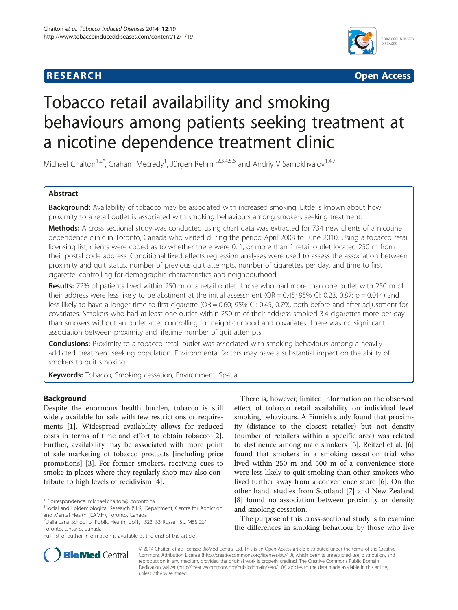## **RESEARCH RESEARCH** *CHECKER CHECKER CHECKER CHECKER CHECKER CHECKER CHECKER CHECKER CHECKER CHECKER CHECKER*



# Tobacco retail availability and smoking behaviours among patients seeking treatment at a nicotine dependence treatment clinic

Michael Chaiton<sup>1,2\*</sup>, Graham Mecredy<sup>1</sup>, Jürgen Rehm<sup>1,2,3,4,5,6</sup> and Andriy V Samokhvalov<sup>1,4,7</sup>

## Abstract

Background: Availability of tobacco may be associated with increased smoking. Little is known about how proximity to a retail outlet is associated with smoking behaviours among smokers seeking treatment.

Methods: A cross sectional study was conducted using chart data was extracted for 734 new clients of a nicotine dependence clinic in Toronto, Canada who visited during the period April 2008 to June 2010. Using a tobacco retail licensing list, clients were coded as to whether there were 0, 1, or more than 1 retail outlet located 250 m from their postal code address. Conditional fixed effects regression analyses were used to assess the association between proximity and quit status, number of previous quit attempts, number of cigarettes per day, and time to first cigarette, controlling for demographic characteristics and neighbourhood.

Results: 72% of patients lived within 250 m of a retail outlet. Those who had more than one outlet with 250 m of their address were less likely to be abstinent at the initial assessment (OR = 0.45; 95% CI: 0.23, 0.87; p = 0.014) and less likely to have a longer time to first cigarette (OR = 0.60; 95% CI: 0.45, 0.79), both before and after adjustment for covariates. Smokers who had at least one outlet within 250 m of their address smoked 3.4 cigarettes more per day than smokers without an outlet after controlling for neighbourhood and covariates. There was no significant association between proximity and lifetime number of quit attempts.

**Conclusions:** Proximity to a tobacco retail outlet was associated with smoking behaviours among a heavily addicted, treatment seeking population. Environmental factors may have a substantial impact on the ability of smokers to quit smoking.

Keywords: Tobacco, Smoking cessation, Environment, Spatial

## Background

Despite the enormous health burden, tobacco is still widely available for sale with few restrictions or requirements [[1](#page-3-0)]. Widespread availability allows for reduced costs in terms of time and effort to obtain tobacco [\[2](#page-3-0)]. Further, availability may be associated with more point of sale marketing of tobacco products [including price promotions] [[3](#page-3-0)]. For former smokers, receiving cues to smoke in places where they regularly shop may also contribute to high levels of recidivism [\[4](#page-4-0)].

There is, however, limited information on the observed effect of tobacco retail availability on individual level smoking behaviours. A Finnish study found that proximity (distance to the closest retailer) but not density (number of retailers within a specific area) was related to abstinence among male smokers [[5](#page-4-0)]. Reitzel et al. [\[6](#page-4-0)] found that smokers in a smoking cessation trial who lived within 250 m and 500 m of a convenience store were less likely to quit smoking than other smokers who lived further away from a convenience store [\[6](#page-4-0)]. On the other hand, studies from Scotland [\[7](#page-4-0)] and New Zealand [[8\]](#page-4-0) found no association between proximity or density and smoking cessation.

The purpose of this cross-sectional study is to examine the differences in smoking behaviour by those who live



© 2014 Chaiton et al.; licensee BioMed Central Ltd. This is an Open Access article distributed under the terms of the Creative Commons Attribution License [\(http://creativecommons.org/licenses/by/4.0\)](http://creativecommons.org/licenses/by/4.0), which permits unrestricted use, distribution, and reproduction in any medium, provided the original work is properly credited. The Creative Commons Public Domain Dedication waiver [\(http://creativecommons.org/publicdomain/zero/1.0/](http://creativecommons.org/publicdomain/zero/1.0/)) applies to the data made available in this article, unless otherwise stated.

<sup>\*</sup> Correspondence: [michael.chaiton@utoronto.ca](mailto:michael.chaiton@utoronto.ca) <sup>1</sup>

<sup>&</sup>lt;sup>1</sup>Social and Epidemiological Research (SER) Department, Centre for Addiction and Mental Health (CAMH), Toronto, Canada

<sup>&</sup>lt;sup>2</sup>Dalla Lana School of Public Health, UofT, T523, 33 Russell St., M5S 2S1 Toronto, Ontario, Canada

Full list of author information is available at the end of the article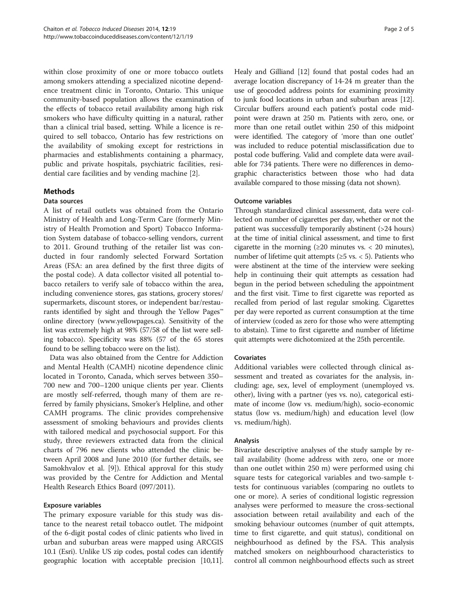within close proximity of one or more tobacco outlets among smokers attending a specialized nicotine dependence treatment clinic in Toronto, Ontario. This unique community-based population allows the examination of the effects of tobacco retail availability among high risk smokers who have difficulty quitting in a natural, rather than a clinical trial based, setting. While a licence is required to sell tobacco, Ontario has few restrictions on the availability of smoking except for restrictions in pharmacies and establishments containing a pharmacy, public and private hospitals, psychiatric facilities, residential care facilities and by vending machine [[2\]](#page-3-0).

## Methods

## Data sources

A list of retail outlets was obtained from the Ontario Ministry of Health and Long-Term Care (formerly Ministry of Health Promotion and Sport) Tobacco Information System database of tobacco-selling vendors, current to 2011. Ground truthing of the retailer list was conducted in four randomly selected Forward Sortation Areas (FSA: an area defined by the first three digits of the postal code). A data collector visited all potential tobacco retailers to verify sale of tobacco within the area, including convenience stores, gas stations, grocery stores/ supermarkets, discount stores, or independent bar/restaurants identified by sight and through the Yellow Pages™ online directory [\(www.yellowpages.ca](http://www.yellowpages.ca/)). Sensitivity of the list was extremely high at 98% (57/58 of the list were selling tobacco). Specificity was 88% (57 of the 65 stores found to be selling tobacco were on the list).

Data was also obtained from the Centre for Addiction and Mental Health (CAMH) nicotine dependence clinic located in Toronto, Canada, which serves between 350– 700 new and 700–1200 unique clients per year. Clients are mostly self-referred, though many of them are referred by family physicians, Smoker's Helpline, and other CAMH programs. The clinic provides comprehensive assessment of smoking behaviours and provides clients with tailored medical and psychosocial support. For this study, three reviewers extracted data from the clinical charts of 796 new clients who attended the clinic between April 2008 and June 2010 (for further details, see Samokhvalov et al. [[9\]](#page-4-0)). Ethical approval for this study was provided by the Centre for Addiction and Mental Health Research Ethics Board (097/2011).

#### Exposure variables

The primary exposure variable for this study was distance to the nearest retail tobacco outlet. The midpoint of the 6-digit postal codes of clinic patients who lived in urban and suburban areas were mapped using ARCGIS 10.1 (Esri). Unlike US zip codes, postal codes can identify geographic location with acceptable precision [\[10,11](#page-4-0)]. Healy and Gilliand [\[12\]](#page-4-0) found that postal codes had an average location discrepancy of 14-24 m greater than the use of geocoded address points for examining proximity to junk food locations in urban and suburban areas [[12](#page-4-0)]. Circular buffers around each patient's postal code midpoint were drawn at 250 m. Patients with zero, one, or more than one retail outlet within 250 of this midpoint were identified. The category of 'more than one outlet' was included to reduce potential misclassification due to postal code buffering. Valid and complete data were available for 734 patients. There were no differences in demographic characteristics between those who had data available compared to those missing (data not shown).

## Outcome variables

Through standardized clinical assessment, data were collected on number of cigarettes per day, whether or not the patient was successfully temporarily abstinent (>24 hours) at the time of initial clinical assessment, and time to first cigarette in the morning ( $\geq 20$  minutes vs. < 20 minutes), number of lifetime quit attempts ( $\geq$ 5 vs. < 5). Patients who were abstinent at the time of the interview were seeking help in continuing their quit attempts as cessation had begun in the period between scheduling the appointment and the first visit. Time to first cigarette was reported as recalled from period of last regular smoking. Cigarettes per day were reported as current consumption at the time of interview (coded as zero for those who were attempting to abstain). Time to first cigarette and number of lifetime quit attempts were dichotomized at the 25th percentile.

#### Covariates

Additional variables were collected through clinical assessment and treated as covariates for the analysis, including: age, sex, level of employment (unemployed vs. other), living with a partner (yes vs. no), categorical estimate of income (low vs. medium/high), socio-economic status (low vs. medium/high) and education level (low vs. medium/high).

#### Analysis

Bivariate descriptive analyses of the study sample by retail availability (home address with zero, one or more than one outlet within 250 m) were performed using chi square tests for categorical variables and two-sample ttests for continuous variables (comparing no outlets to one or more). A series of conditional logistic regression analyses were performed to measure the cross-sectional association between retail availability and each of the smoking behaviour outcomes (number of quit attempts, time to first cigarette, and quit status), conditional on neighbourhood as defined by the FSA. This analysis matched smokers on neighbourhood characteristics to control all common neighbourhood effects such as street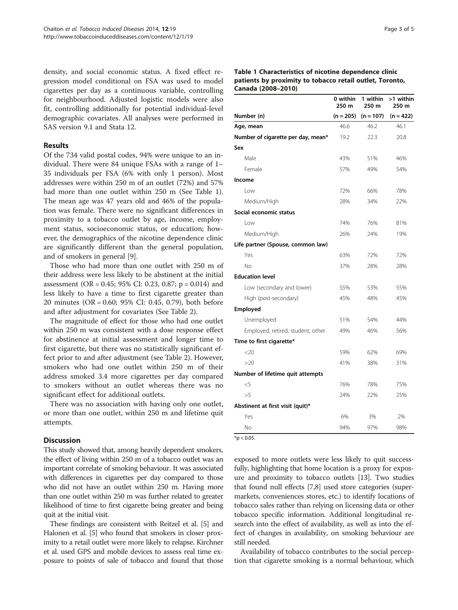density, and social economic status. A fixed effect regression model conditional on FSA was used to model cigarettes per day as a continuous variable, controlling for neighbourhood. Adjusted logistic models were also fit, controlling additionally for potential individual-level demographic covariates. All analyses were performed in SAS version 9.1 and Stata 12.

### Results

Of the 734 valid postal codes, 94% were unique to an individual. There were 84 unique FSAs with a range of 1– 35 individuals per FSA (6% with only 1 person). Most addresses were within 250 m of an outlet (72%) and 57% had more than one outlet within 250 m (See Table 1). The mean age was 47 years old and 46% of the population was female. There were no significant differences in proximity to a tobacco outlet by age, income, employment status, socioeconomic status, or education; however, the demographics of the nicotine dependence clinic are significantly different than the general population, and of smokers in general [[9\]](#page-4-0).

Those who had more than one outlet with 250 m of their address were less likely to be abstinent at the initial assessment (OR = 0.45; 95% CI: 0.23, 0.87; p = 0.014) and less likely to have a time to first cigarette greater than 20 minutes (OR = 0.60; 95% CI: 0.45, 0.79), both before and after adjustment for covariates (See Table [2\)](#page-3-0).

The magnitude of effect for those who had one outlet within 250 m was consistent with a dose response effect for abstinence at initial assessment and longer time to first cigarette, but there was no statistically significant effect prior to and after adjustment (see Table [2](#page-3-0)). However, smokers who had one outlet within 250 m of their address smoked 3.4 more cigarettes per day compared to smokers without an outlet whereas there was no significant effect for additional outlets.

There was no association with having only one outlet, or more than one outlet, within 250 m and lifetime quit attempts.

## **Discussion**

This study showed that, among heavily dependent smokers, the effect of living within 250 m of a tobacco outlet was an important correlate of smoking behaviour. It was associated with differences in cigarettes per day compared to those who did not have an outlet within 250 m. Having more than one outlet within 250 m was further related to greater likelihood of time to first cigarette being greater and being quit at the initial visit.

These findings are consistent with Reitzel et al. [\[5\]](#page-4-0) and Halonen et al. [\[5\]](#page-4-0) who found that smokers in closer proximity to a retail outlet were more likely to relapse. Kirchner et al. used GPS and mobile devices to assess real time exposure to points of sale of tobacco and found that those

|                                    | 0 within<br>250 m | 1 within<br>250 m | >1 within<br>250 m |
|------------------------------------|-------------------|-------------------|--------------------|
| Number (n)                         | $(n = 205)$       | $(n = 107)$       | $(n = 422)$        |
| Age, mean                          | 46.6              | 46.2              | 46.1               |
| Number of cigarette per day, mean* | 19.2              | 22.3              | 20.8               |
| Sex                                |                   |                   |                    |
| Male                               | 43%               | 51%               | 46%                |
| Female                             | 57%               | 49%               | 54%                |
| Income                             |                   |                   |                    |
| Low                                | 72%               | 66%               | 78%                |
| Medium/High                        | 28%               | 34%               | 22%                |
| Social economic status             |                   |                   |                    |
| Low                                | 74%               | 76%               | 81%                |
| Medium/High                        | 26%               | 24%               | 19%                |
| Life partner (Spouse, common law)  |                   |                   |                    |
| Yes                                | 63%               | 72%               | 72%                |
| No                                 | 37%               | 28%               | 28%                |
| <b>Education level</b>             |                   |                   |                    |
| Low (secondary and lower)          | 55%               | 53%               | 55%                |
| High (post-secondary)              | 45%               | 48%               | 45%                |
| Employed                           |                   |                   |                    |
| Unemployed                         | 51%               | 54%               | 44%                |
| Employed, retired, student, other  | 49%               | 46%               | 56%                |
| Time to first cigarette*           |                   |                   |                    |
| $<$ 20                             | 59%               | 62%               | 69%                |
| >20                                | 41%               | 38%               | 31%                |
| Number of lifetime quit attempts   |                   |                   |                    |
| $<$ 5                              | 76%               | 78%               | 75%                |
| >5                                 | 24%               | 22%               | 25%                |
| Abstinent at first visit (quit)*   |                   |                   |                    |
| Yes                                | 6%                | 3%                | 2%                 |
| No                                 | 94%               | 97%               | 98%                |

 $*$ p < 0.05.

exposed to more outlets were less likely to quit successfully, highlighting that home location is a proxy for exposure and proximity to tobacco outlets [[13](#page-4-0)]. Two studies that found null effects [[7,8](#page-4-0)] used store categories (supermarkets, conveniences stores, etc.) to identify locations of tobacco sales rather than relying on licensing data or other tobacco specific information. Additional longitudinal research into the effect of availability, as well as into the effect of changes in availability, on smoking behaviour are still needed.

Availability of tobacco contributes to the social perception that cigarette smoking is a normal behaviour, which

#### Table 1 Characteristics of nicotine dependence clinic patients by proximity to tobacco retail outlet, Toronto, Canada (2008–2010)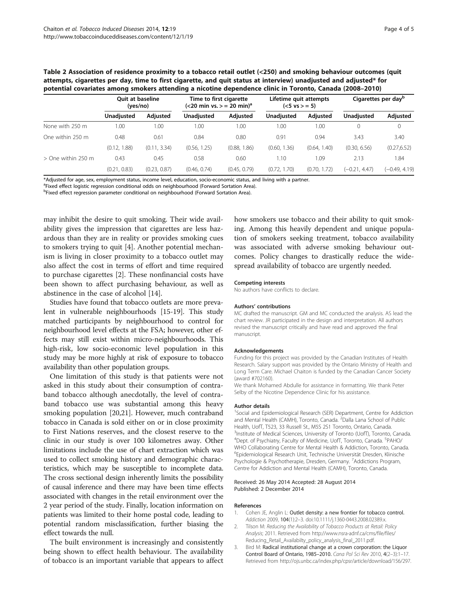<span id="page-3-0"></span>

| Table 2 Association of residence proximity to a tobacco retail outlet (<250) and smoking behaviour outcomes (quit |
|-------------------------------------------------------------------------------------------------------------------|
| attempts, cigarettes per day, time to first cigarette, and quit status at interview) unadjusted and adjusted* for |
| potential covariates among smokers attending a nicotine dependence clinic in Toronto, Canada (2008–2010)          |

|                      | <b>Ouit at baseline</b><br>(yes/no) |              | Time to first cigarette<br>$(<$ 20 min vs. > = 20 min) <sup>a</sup> |                 | Lifetime quit attempts<br>$(<5 \text{ vs } > = 5)$ |                 | Cigarettes per day <sup>b</sup> |                 |
|----------------------|-------------------------------------|--------------|---------------------------------------------------------------------|-----------------|----------------------------------------------------|-----------------|---------------------------------|-----------------|
|                      | <b>Unadiusted</b>                   | Adjusted     | <b>Unadiusted</b>                                                   | <b>Adiusted</b> | <b>Unadiusted</b>                                  | <b>Adiusted</b> | <b>Unadiusted</b>               | Adjusted        |
| None with 250 m      | 1.00                                | .00          | .00                                                                 | 0.00            | 00.1                                               | 1.00            | $\Omega$                        | $\circ$         |
| One within 250 m     | 0.48                                | 0.61         | 0.84                                                                | 0.80            | 0.91                                               | 0.94            | 3.43                            | 3.40            |
|                      | (0.12, 1.88)                        | (0.11, 3.34) | (0.56, 1.25)                                                        | (0.88, 1.86)    | (0.60, 1.36)                                       | (0.64, 1.40)    | (0.30, 6.56)                    | (0.27, 6.52)    |
| $>$ One within 250 m | 0.43                                | 0.45         | 0.58                                                                | 0.60            | 1.10                                               | 1.09            | 2.13                            | 1.84            |
|                      | (0.21, 0.83)                        | (0.23, 0.87) | (0.46, 0.74)                                                        | (0.45, 0.79)    | (0.72, 1.70)                                       | 1.72)<br>(0.70. | $(-0.21, 4.47)$                 | $(-0.49, 4.19)$ |

\*Adjusted for age, sex, employment status, income level, education, socio-economic status, and living with a partner.

<sup>a</sup>Fixed effect logistic regression conditional odds on neighbourhood (Forward Sortation Area).

<sup>b</sup>Fixed effect regression parameter conditional on neighbourhood (Forward Sortation Area).

may inhibit the desire to quit smoking. Their wide availability gives the impression that cigarettes are less hazardous than they are in reality or provides smoking cues to smokers trying to quit [\[4](#page-4-0)]. Another potential mechanism is living in closer proximity to a tobacco outlet may also affect the cost in terms of effort and time required to purchase cigarettes [2]. These nonfinancial costs have been shown to affect purchasing behaviour, as well as abstinence in the case of alcohol [\[14\]](#page-4-0).

Studies have found that tobacco outlets are more prevalent in vulnerable neighbourhoods [[15-19\]](#page-4-0). This study matched participants by neighbourhood to control for neighbourhood level effects at the FSA; however, other effects may still exist within micro-neighbourhoods. This high-risk, low socio-economic level population in this study may be more highly at risk of exposure to tobacco availability than other population groups.

One limitation of this study is that patients were not asked in this study about their consumption of contraband tobacco although anecdotally, the level of contraband tobacco use was substantial among this heavy smoking population [[20,21](#page-4-0)]. However, much contraband tobacco in Canada is sold either on or in close proximity to First Nations reserves, and the closest reserve to the clinic in our study is over 100 kilometres away. Other limitations include the use of chart extraction which was used to collect smoking history and demographic characteristics, which may be susceptible to incomplete data. The cross sectional design inherently limits the possibility of causal inference and there may have been time effects associated with changes in the retail environment over the 2 year period of the study. Finally, location information on patients was limited to their home postal code, leading to potential random misclassification, further biasing the effect towards the null.

The built environment is increasingly and consistently being shown to effect health behaviour. The availability of tobacco is an important variable that appears to affect how smokers use tobacco and their ability to quit smoking. Among this heavily dependent and unique population of smokers seeking treatment, tobacco availability was associated with adverse smoking behaviour outcomes. Policy changes to drastically reduce the widespread availability of tobacco are urgently needed.

#### Competing interests

No authors have conflicts to declare.

#### Authors' contributions

MC drafted the manuscript. GM and MC conducted the analysis. AS lead the chart review. JR participated in the design and interpretation. All authors revised the manuscript critically and have read and approved the final manuscript.

#### Acknowledgements

Funding for this project was provided by the Canadian Institutes of Health Research. Salary support was provided by the Ontario Ministry of Health and Long Term Care. Michael Chaiton is funded by the Canadian Cancer Society (award #702160).

We thank Mohamed Abdulle for assistance in formatting. We thank Peter Selby of the Nicotine Dependence Clinic for his assistance.

#### Author details

<sup>1</sup>Social and Epidemiological Research (SER) Department, Centre for Addiction and Mental Health (CAMH), Toronto, Canada. <sup>2</sup>Dalla Lana School of Public Health, UofT, T523, 33 Russell St., M5S 2S1 Toronto, Ontario, Canada. <sup>3</sup>Institute of Medical Sciences, University of Toronto (UofT), Toronto, Canada <sup>4</sup>Dept. of Psychiatry, Faculty of Medicine, UofT, Toronto, Canada. <sup>5</sup>PAHO/ WHO Collaborating Centre for Mental Health & Addiction, Toronto, Canada. 6 Epidemiological Research Unit, Technische Universität Dresden, Klinische Psychologie & Psychotherapie, Dresden, Germany. <sup>7</sup>Addictions Program Centre for Addiction and Mental Health (CAMH), Toronto, Canada.

#### Received: 26 May 2014 Accepted: 28 August 2014 Published: 2 December 2014

#### References

- 1. Cohen JE, Anglin L: Outlet density: a new frontier for tobacco control. Addiction 2009, 104(1):2-3. doi:10.1111/j.1360-0443.2008.02389.x.
- Tilson M: Reducing the Availability of Tobacco Products at Retail: Policy Analysis; 2011. Retrieved from [http://www.nsra-adnf.ca/cms/file/files/](http://www.nsra-adnf.ca/cms/file/files/Reducing_Retail_Availabilty_policy_analysis_final_2011.pdf) [Reducing\\_Retail\\_Availabilty\\_policy\\_analysis\\_final\\_2011.pdf](http://www.nsra-adnf.ca/cms/file/files/Reducing_Retail_Availabilty_policy_analysis_final_2011.pdf).
- 3. Bird M: Radical institutional change at a crown corporation: the Liquor Control Board of Ontario, 1985–2010. Cana Pol Sci Rev 2010, 4(2–3):1–17. Retrieved from [http://ojs.unbc.ca/index.php/cpsr/article/download/156/297.](http://ojs.unbc.ca/index.php/cpsr/article/download/156/297)